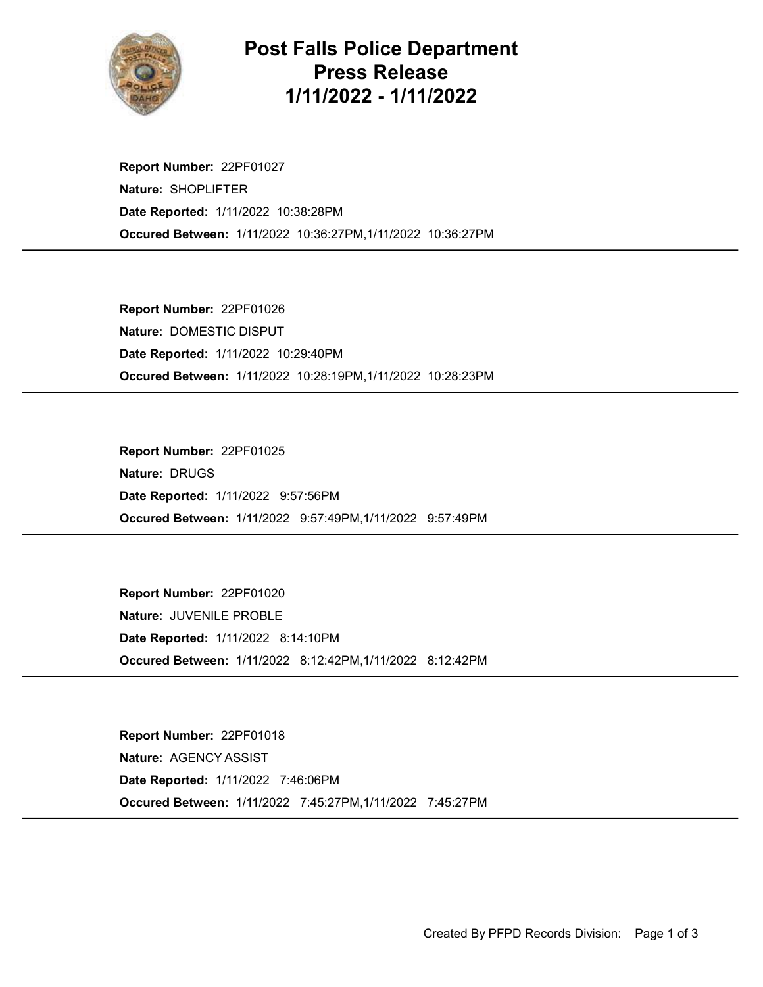

## Post Falls Police Department Press Release 1/11/2022 - 1/11/2022

Occured Between: 1/11/2022 10:36:27PM,1/11/2022 10:36:27PM Report Number: 22PF01027 Nature: SHOPLIFTER Date Reported: 1/11/2022 10:38:28PM

Occured Between: 1/11/2022 10:28:19PM,1/11/2022 10:28:23PM Report Number: 22PF01026 Nature: DOMESTIC DISPUT Date Reported: 1/11/2022 10:29:40PM

Occured Between: 1/11/2022 9:57:49PM,1/11/2022 9:57:49PM Report Number: 22PF01025 Nature: DRUGS Date Reported: 1/11/2022 9:57:56PM

Occured Between: 1/11/2022 8:12:42PM,1/11/2022 8:12:42PM Report Number: 22PF01020 Nature: JUVENILE PROBLE Date Reported: 1/11/2022 8:14:10PM

Occured Between: 1/11/2022 7:45:27PM,1/11/2022 7:45:27PM Report Number: 22PF01018 Nature: AGENCY ASSIST Date Reported: 1/11/2022 7:46:06PM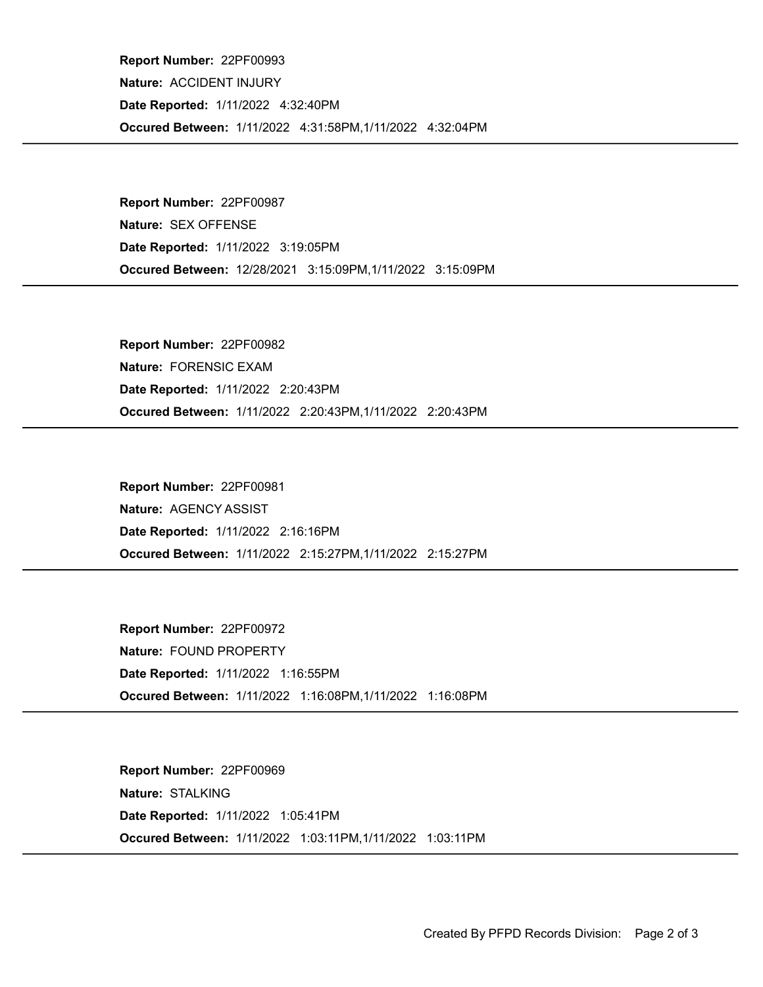Occured Between: 1/11/2022 4:31:58PM,1/11/2022 4:32:04PM Report Number: 22PF00993 Nature: ACCIDENT INJURY Date Reported: 1/11/2022 4:32:40PM

Occured Between: 12/28/2021 3:15:09PM,1/11/2022 3:15:09PM Report Number: 22PF00987 Nature: SEX OFFENSE Date Reported: 1/11/2022 3:19:05PM

Occured Between: 1/11/2022 2:20:43PM,1/11/2022 2:20:43PM Report Number: 22PF00982 Nature: FORENSIC EXAM Date Reported: 1/11/2022 2:20:43PM

Occured Between: 1/11/2022 2:15:27PM,1/11/2022 2:15:27PM Report Number: 22PF00981 Nature: AGENCY ASSIST Date Reported: 1/11/2022 2:16:16PM

Occured Between: 1/11/2022 1:16:08PM,1/11/2022 1:16:08PM Report Number: 22PF00972 Nature: FOUND PROPERTY Date Reported: 1/11/2022 1:16:55PM

Occured Between: 1/11/2022 1:03:11PM,1/11/2022 1:03:11PM Report Number: 22PF00969 Nature: STALKING Date Reported: 1/11/2022 1:05:41PM